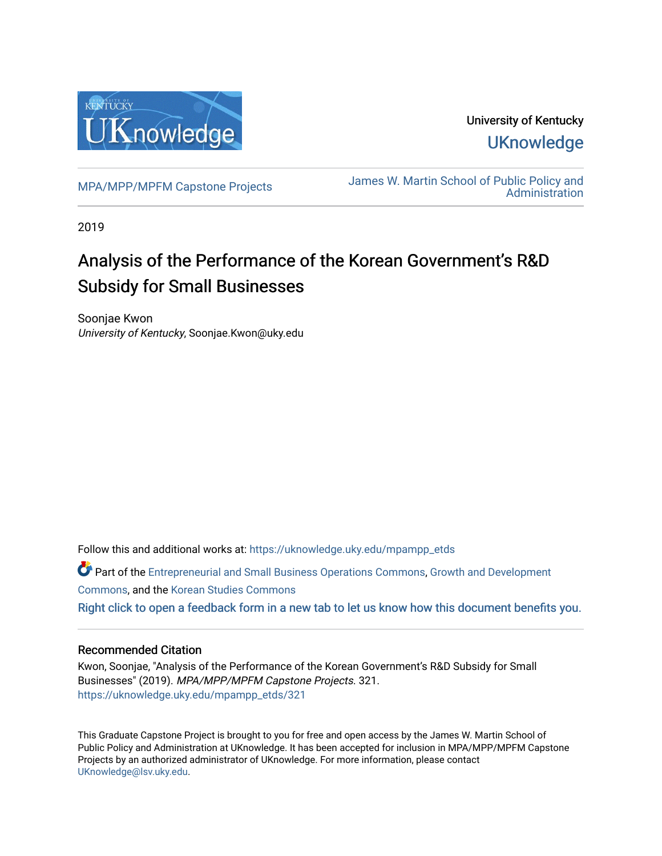

University of Kentucky **UKnowledge** 

[MPA/MPP/MPFM Capstone Projects](https://uknowledge.uky.edu/mpampp_etds) James W. Martin School of Public Policy and **Administration** 

2019

## Analysis of the Performance of the Korean Government's R&D Subsidy for Small Businesses

Soonjae Kwon University of Kentucky, Soonjae.Kwon@uky.edu

Follow this and additional works at: [https://uknowledge.uky.edu/mpampp\\_etds](https://uknowledge.uky.edu/mpampp_etds?utm_source=uknowledge.uky.edu%2Fmpampp_etds%2F321&utm_medium=PDF&utm_campaign=PDFCoverPages)

Part of the [Entrepreneurial and Small Business Operations Commons,](http://network.bepress.com/hgg/discipline/630?utm_source=uknowledge.uky.edu%2Fmpampp_etds%2F321&utm_medium=PDF&utm_campaign=PDFCoverPages) [Growth and Development](http://network.bepress.com/hgg/discipline/346?utm_source=uknowledge.uky.edu%2Fmpampp_etds%2F321&utm_medium=PDF&utm_campaign=PDFCoverPages) [Commons](http://network.bepress.com/hgg/discipline/346?utm_source=uknowledge.uky.edu%2Fmpampp_etds%2F321&utm_medium=PDF&utm_campaign=PDFCoverPages), and the [Korean Studies Commons](http://network.bepress.com/hgg/discipline/1288?utm_source=uknowledge.uky.edu%2Fmpampp_etds%2F321&utm_medium=PDF&utm_campaign=PDFCoverPages)  [Right click to open a feedback form in a new tab to let us know how this document benefits you.](https://uky.az1.qualtrics.com/jfe/form/SV_9mq8fx2GnONRfz7)

#### Recommended Citation

Kwon, Soonjae, "Analysis of the Performance of the Korean Government's R&D Subsidy for Small Businesses" (2019). MPA/MPP/MPFM Capstone Projects. 321. [https://uknowledge.uky.edu/mpampp\\_etds/321](https://uknowledge.uky.edu/mpampp_etds/321?utm_source=uknowledge.uky.edu%2Fmpampp_etds%2F321&utm_medium=PDF&utm_campaign=PDFCoverPages)

This Graduate Capstone Project is brought to you for free and open access by the James W. Martin School of Public Policy and Administration at UKnowledge. It has been accepted for inclusion in MPA/MPP/MPFM Capstone Projects by an authorized administrator of UKnowledge. For more information, please contact [UKnowledge@lsv.uky.edu.](mailto:UKnowledge@lsv.uky.edu)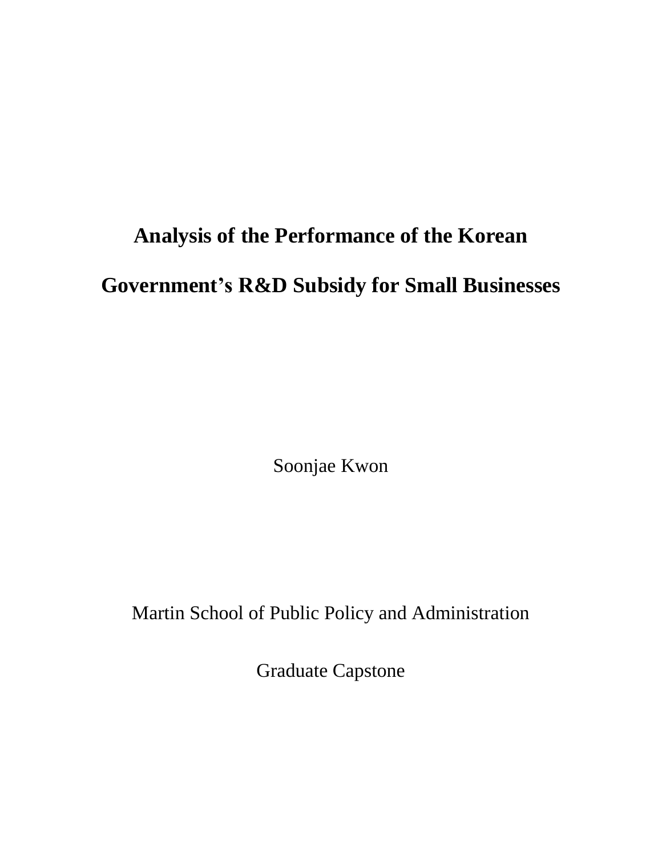# **Analysis of the Performance of the Korean**

**Government's R&D Subsidy for Small Businesses**

Soonjae Kwon

Martin School of Public Policy and Administration

Graduate Capstone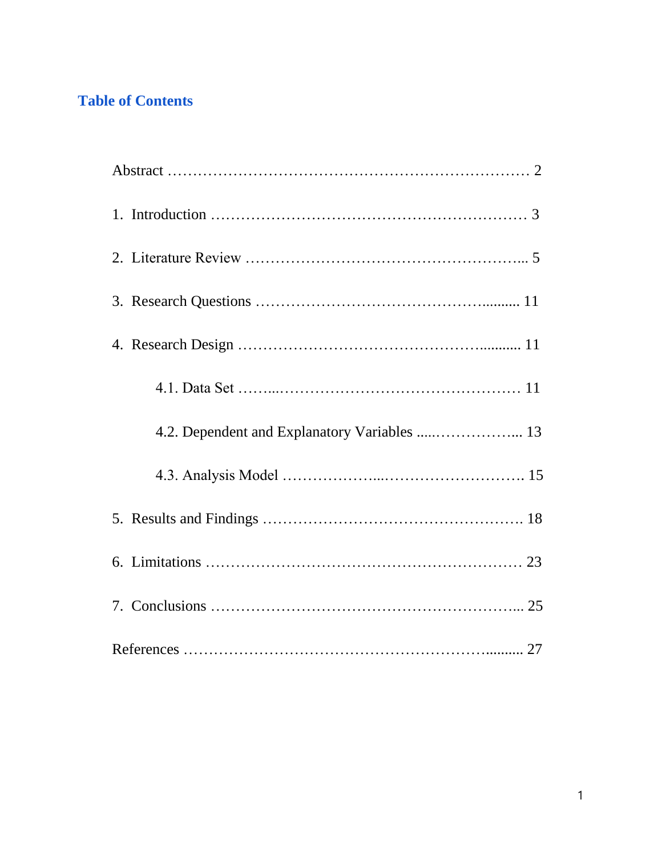## **Table of Contents**

| 4.2. Dependent and Explanatory Variables  13 |
|----------------------------------------------|
|                                              |
|                                              |
|                                              |
|                                              |
|                                              |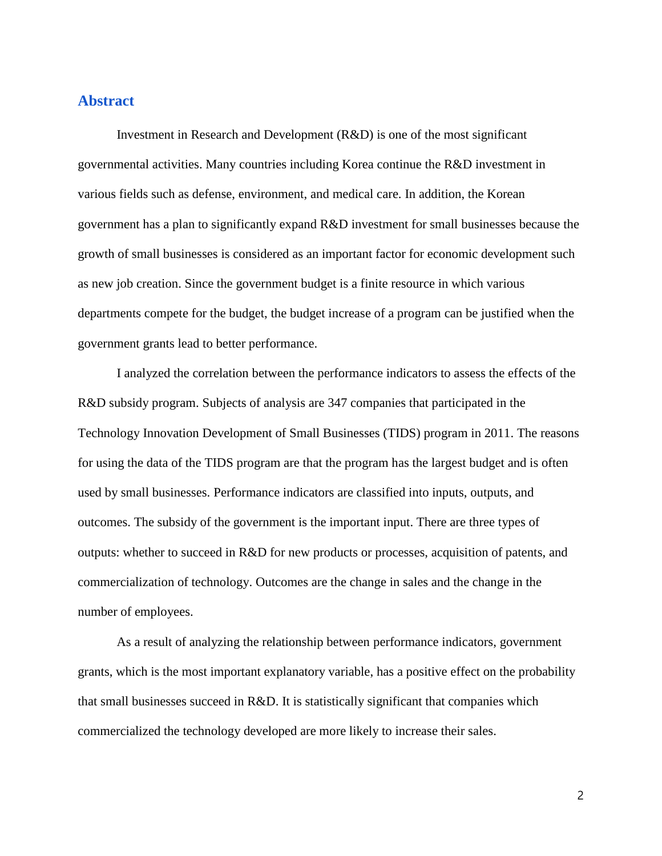## **Abstract**

Investment in Research and Development (R&D) is one of the most significant governmental activities. Many countries including Korea continue the R&D investment in various fields such as defense, environment, and medical care. In addition, the Korean government has a plan to significantly expand R&D investment for small businesses because the growth of small businesses is considered as an important factor for economic development such as new job creation. Since the government budget is a finite resource in which various departments compete for the budget, the budget increase of a program can be justified when the government grants lead to better performance.

I analyzed the correlation between the performance indicators to assess the effects of the R&D subsidy program. Subjects of analysis are 347 companies that participated in the Technology Innovation Development of Small Businesses (TIDS) program in 2011. The reasons for using the data of the TIDS program are that the program has the largest budget and is often used by small businesses. Performance indicators are classified into inputs, outputs, and outcomes. The subsidy of the government is the important input. There are three types of outputs: whether to succeed in R&D for new products or processes, acquisition of patents, and commercialization of technology. Outcomes are the change in sales and the change in the number of employees.

As a result of analyzing the relationship between performance indicators, government grants, which is the most important explanatory variable, has a positive effect on the probability that small businesses succeed in R&D. It is statistically significant that companies which commercialized the technology developed are more likely to increase their sales.

2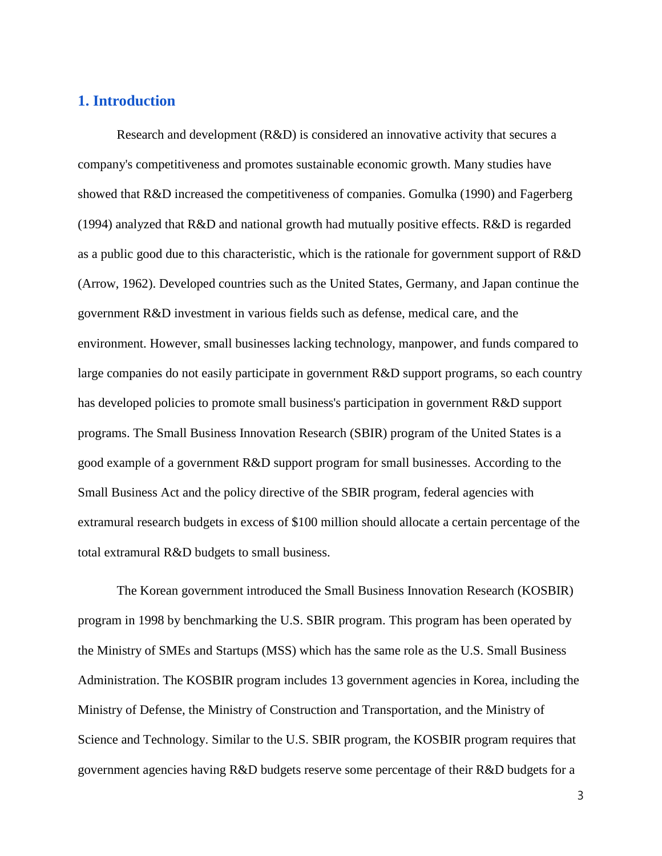## **1. Introduction**

Research and development (R&D) is considered an innovative activity that secures a company's competitiveness and promotes sustainable economic growth. Many studies have showed that R&D increased the competitiveness of companies. Gomulka (1990) and Fagerberg (1994) analyzed that R&D and national growth had mutually positive effects. R&D is regarded as a public good due to this characteristic, which is the rationale for government support of R&D (Arrow, 1962). Developed countries such as the United States, Germany, and Japan continue the government R&D investment in various fields such as defense, medical care, and the environment. However, small businesses lacking technology, manpower, and funds compared to large companies do not easily participate in government R&D support programs, so each country has developed policies to promote small business's participation in government R&D support programs. The Small Business Innovation Research (SBIR) program of the United States is a good example of a government R&D support program for small businesses. According to the Small Business Act and the policy directive of the SBIR program, federal agencies with extramural research budgets in excess of \$100 million should allocate a certain percentage of the total extramural R&D budgets to small business.

The Korean government introduced the Small Business Innovation Research (KOSBIR) program in 1998 by benchmarking the U.S. SBIR program. This program has been operated by the Ministry of SMEs and Startups (MSS) which has the same role as the U.S. Small Business Administration. The KOSBIR program includes 13 government agencies in Korea, including the Ministry of Defense, the Ministry of Construction and Transportation, and the Ministry of Science and Technology. Similar to the U.S. SBIR program, the KOSBIR program requires that government agencies having R&D budgets reserve some percentage of their R&D budgets for a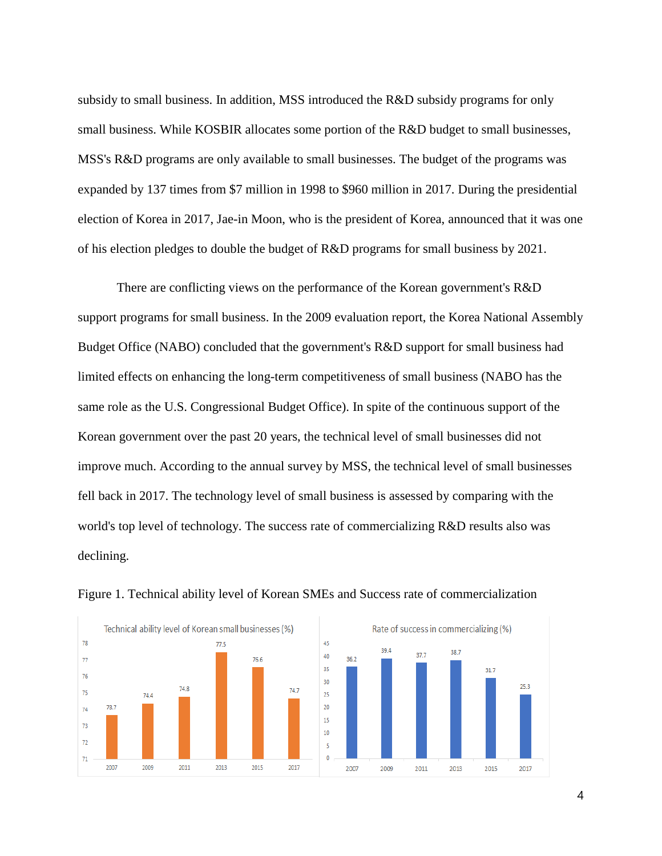subsidy to small business. In addition, MSS introduced the R&D subsidy programs for only small business. While KOSBIR allocates some portion of the R&D budget to small businesses, MSS's R&D programs are only available to small businesses. The budget of the programs was expanded by 137 times from \$7 million in 1998 to \$960 million in 2017. During the presidential election of Korea in 2017, Jae-in Moon, who is the president of Korea, announced that it was one of his election pledges to double the budget of R&D programs for small business by 2021.

There are conflicting views on the performance of the Korean government's R&D support programs for small business. In the 2009 evaluation report, the Korea National Assembly Budget Office (NABO) concluded that the government's R&D support for small business had limited effects on enhancing the long-term competitiveness of small business (NABO has the same role as the U.S. Congressional Budget Office). In spite of the continuous support of the Korean government over the past 20 years, the technical level of small businesses did not improve much. According to the annual survey by MSS, the technical level of small businesses fell back in 2017. The technology level of small business is assessed by comparing with the world's top level of technology. The success rate of commercializing R&D results also was declining.



Figure 1. Technical ability level of Korean SMEs and Success rate of commercialization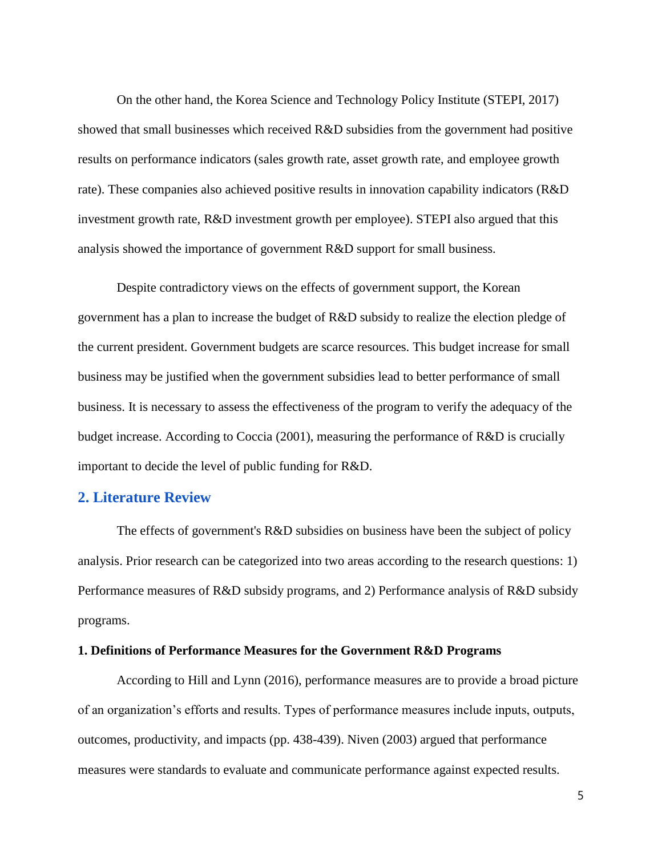On the other hand, the Korea Science and Technology Policy Institute (STEPI, 2017) showed that small businesses which received R&D subsidies from the government had positive results on performance indicators (sales growth rate, asset growth rate, and employee growth rate). These companies also achieved positive results in innovation capability indicators (R&D investment growth rate, R&D investment growth per employee). STEPI also argued that this analysis showed the importance of government R&D support for small business.

Despite contradictory views on the effects of government support, the Korean government has a plan to increase the budget of R&D subsidy to realize the election pledge of the current president. Government budgets are scarce resources. This budget increase for small business may be justified when the government subsidies lead to better performance of small business. It is necessary to assess the effectiveness of the program to verify the adequacy of the budget increase. According to Coccia (2001), measuring the performance of R&D is crucially important to decide the level of public funding for R&D.

#### **2. Literature Review**

The effects of government's R&D subsidies on business have been the subject of policy analysis. Prior research can be categorized into two areas according to the research questions: 1) Performance measures of R&D subsidy programs, and 2) Performance analysis of R&D subsidy programs.

#### **1. Definitions of Performance Measures for the Government R&D Programs**

According to Hill and Lynn (2016), performance measures are to provide a broad picture of an organization's efforts and results. Types of performance measures include inputs, outputs, outcomes, productivity, and impacts (pp. 438-439). Niven (2003) argued that performance measures were standards to evaluate and communicate performance against expected results.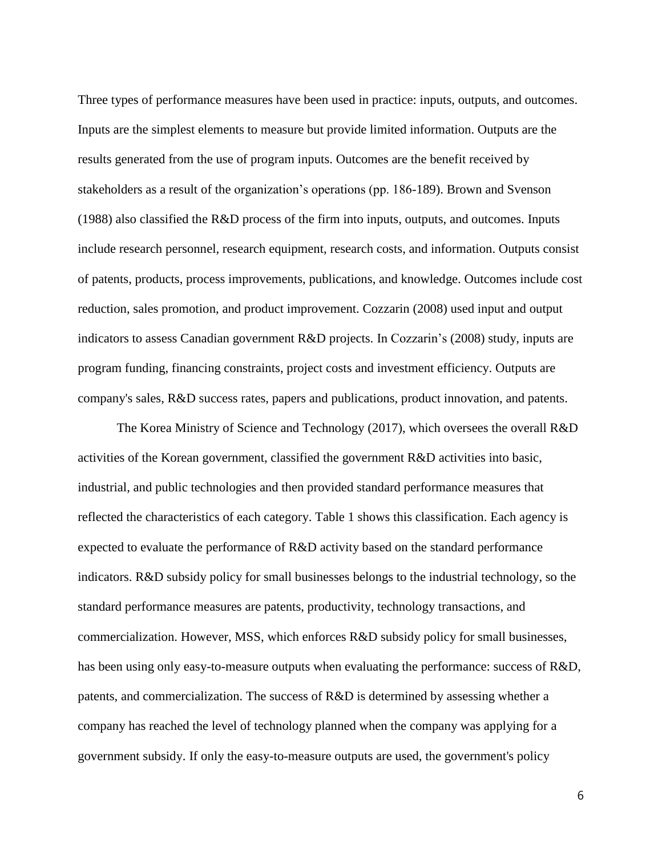Three types of performance measures have been used in practice: inputs, outputs, and outcomes. Inputs are the simplest elements to measure but provide limited information. Outputs are the results generated from the use of program inputs. Outcomes are the benefit received by stakeholders as a result of the organization's operations (pp. 186-189). Brown and Svenson (1988) also classified the R&D process of the firm into inputs, outputs, and outcomes. Inputs include research personnel, research equipment, research costs, and information. Outputs consist of patents, products, process improvements, publications, and knowledge. Outcomes include cost reduction, sales promotion, and product improvement. Cozzarin (2008) used input and output indicators to assess Canadian government R&D projects. In Cozzarin's (2008) study, inputs are program funding, financing constraints, project costs and investment efficiency. Outputs are company's sales, R&D success rates, papers and publications, product innovation, and patents.

The Korea Ministry of Science and Technology (2017), which oversees the overall R&D activities of the Korean government, classified the government R&D activities into basic, industrial, and public technologies and then provided standard performance measures that reflected the characteristics of each category. Table 1 shows this classification. Each agency is expected to evaluate the performance of R&D activity based on the standard performance indicators. R&D subsidy policy for small businesses belongs to the industrial technology, so the standard performance measures are patents, productivity, technology transactions, and commercialization. However, MSS, which enforces R&D subsidy policy for small businesses, has been using only easy-to-measure outputs when evaluating the performance: success of R&D, patents, and commercialization. The success of R&D is determined by assessing whether a company has reached the level of technology planned when the company was applying for a government subsidy. If only the easy-to-measure outputs are used, the government's policy

6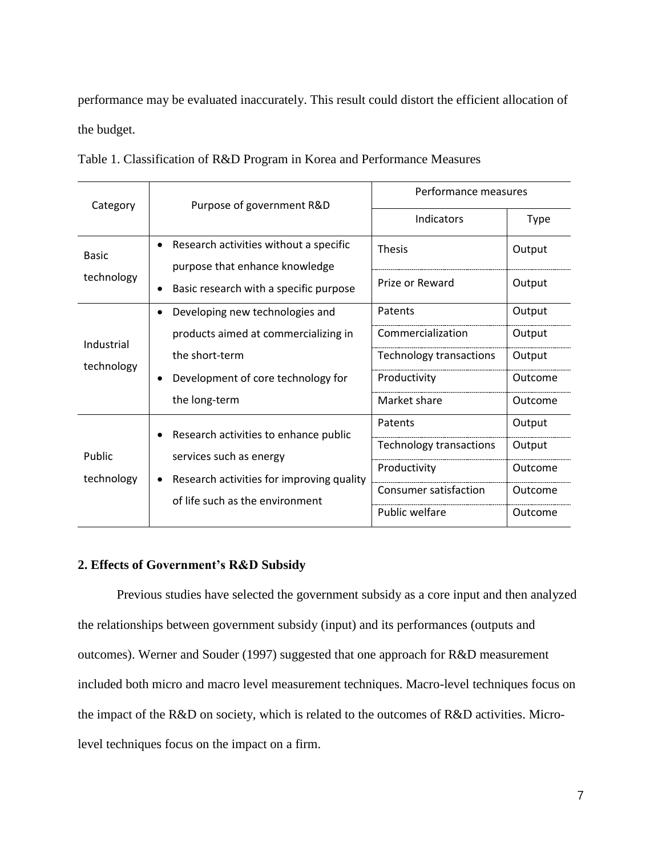performance may be evaluated inaccurately. This result could distort the efficient allocation of the budget.

|  |  |  |  | Table 1. Classification of R&D Program in Korea and Performance Measures |  |
|--|--|--|--|--------------------------------------------------------------------------|--|
|  |  |  |  |                                                                          |  |

| Category     | Purpose of government R&D                           | Performance measures           |             |  |  |
|--------------|-----------------------------------------------------|--------------------------------|-------------|--|--|
|              |                                                     | Indicators                     | <b>Type</b> |  |  |
| <b>Basic</b> | Research activities without a specific<br>$\bullet$ | <b>Thesis</b>                  | Output      |  |  |
| technology   | purpose that enhance knowledge                      |                                |             |  |  |
|              | Basic research with a specific purpose<br>٠         | Prize or Reward                | Output      |  |  |
|              | Developing new technologies and<br>$\bullet$        | Patents                        | Output      |  |  |
| Industrial   | products aimed at commercializing in                | Commercialization              | Output      |  |  |
| technology   | the short-term                                      | Technology transactions        | Output      |  |  |
|              | Development of core technology for<br>$\bullet$     | Productivity                   | Outcome     |  |  |
|              | the long-term                                       | Market share                   | Outcome     |  |  |
|              | Research activities to enhance public               | Patents                        | Output      |  |  |
| Public       | services such as energy                             | <b>Technology transactions</b> | Output      |  |  |
| technology   | Research activities for improving quality           | Productivity                   | Outcome     |  |  |
|              | of life such as the environment                     | Consumer satisfaction          | Outcome     |  |  |
|              |                                                     | Public welfare                 | Outcome     |  |  |

#### **2. Effects of Government's R&D Subsidy**

Previous studies have selected the government subsidy as a core input and then analyzed the relationships between government subsidy (input) and its performances (outputs and outcomes). Werner and Souder (1997) suggested that one approach for R&D measurement included both micro and macro level measurement techniques. Macro-level techniques focus on the impact of the R&D on society, which is related to the outcomes of R&D activities. Microlevel techniques focus on the impact on a firm.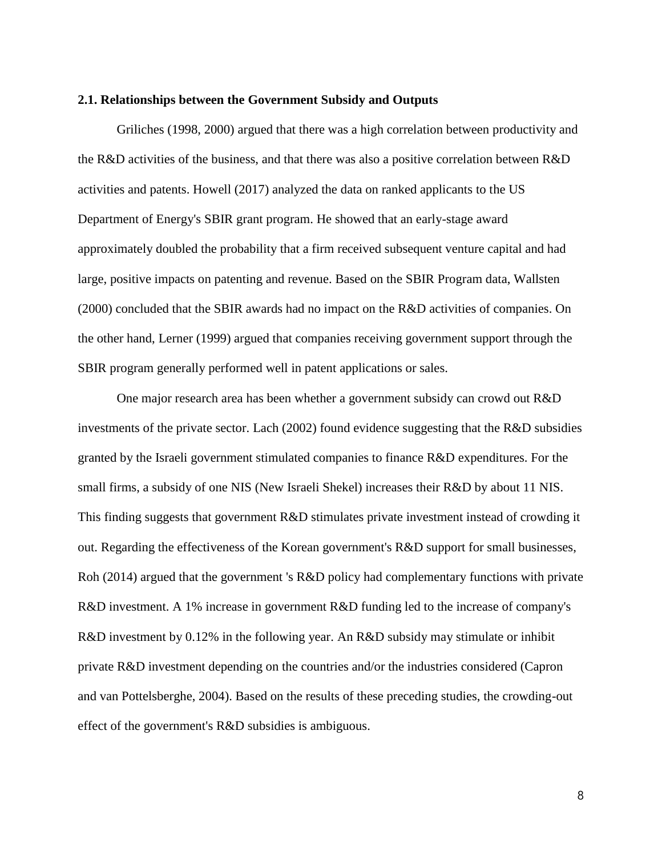#### **2.1. Relationships between the Government Subsidy and Outputs**

Griliches (1998, 2000) argued that there was a high correlation between productivity and the R&D activities of the business, and that there was also a positive correlation between R&D activities and patents. Howell (2017) analyzed the data on ranked applicants to the US Department of Energy's SBIR grant program. He showed that an early-stage award approximately doubled the probability that a firm received subsequent venture capital and had large, positive impacts on patenting and revenue. Based on the SBIR Program data, Wallsten (2000) concluded that the SBIR awards had no impact on the R&D activities of companies. On the other hand, Lerner (1999) argued that companies receiving government support through the SBIR program generally performed well in patent applications or sales.

One major research area has been whether a government subsidy can crowd out R&D investments of the private sector. Lach (2002) found evidence suggesting that the R&D subsidies granted by the Israeli government stimulated companies to finance R&D expenditures. For the small firms, a subsidy of one NIS (New Israeli Shekel) increases their R&D by about 11 NIS. This finding suggests that government R&D stimulates private investment instead of crowding it out. Regarding the effectiveness of the Korean government's R&D support for small businesses, Roh (2014) argued that the government 's R&D policy had complementary functions with private R&D investment. A 1% increase in government R&D funding led to the increase of company's R&D investment by 0.12% in the following year. An R&D subsidy may stimulate or inhibit private R&D investment depending on the countries and/or the industries considered (Capron and van Pottelsberghe, 2004). Based on the results of these preceding studies, the crowding-out effect of the government's R&D subsidies is ambiguous.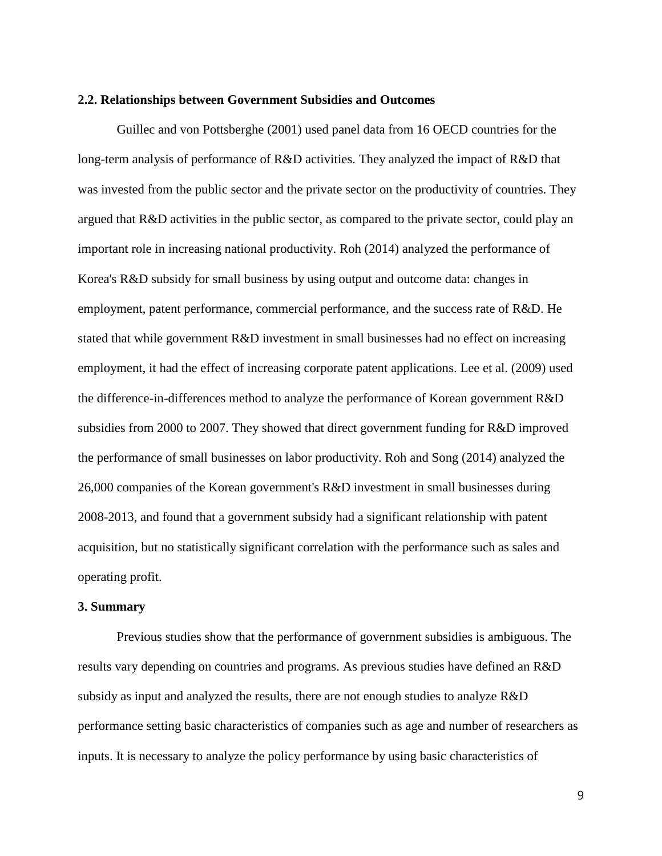#### **2.2. Relationships between Government Subsidies and Outcomes**

Guillec and von Pottsberghe (2001) used panel data from 16 OECD countries for the long-term analysis of performance of R&D activities. They analyzed the impact of R&D that was invested from the public sector and the private sector on the productivity of countries. They argued that R&D activities in the public sector, as compared to the private sector, could play an important role in increasing national productivity. Roh (2014) analyzed the performance of Korea's R&D subsidy for small business by using output and outcome data: changes in employment, patent performance, commercial performance, and the success rate of R&D. He stated that while government R&D investment in small businesses had no effect on increasing employment, it had the effect of increasing corporate patent applications. Lee et al. (2009) used the difference-in-differences method to analyze the performance of Korean government R&D subsidies from 2000 to 2007. They showed that direct government funding for R&D improved the performance of small businesses on labor productivity. Roh and Song (2014) analyzed the 26,000 companies of the Korean government's R&D investment in small businesses during 2008-2013, and found that a government subsidy had a significant relationship with patent acquisition, but no statistically significant correlation with the performance such as sales and operating profit.

#### **3. Summary**

Previous studies show that the performance of government subsidies is ambiguous. The results vary depending on countries and programs. As previous studies have defined an R&D subsidy as input and analyzed the results, there are not enough studies to analyze R&D performance setting basic characteristics of companies such as age and number of researchers as inputs. It is necessary to analyze the policy performance by using basic characteristics of

9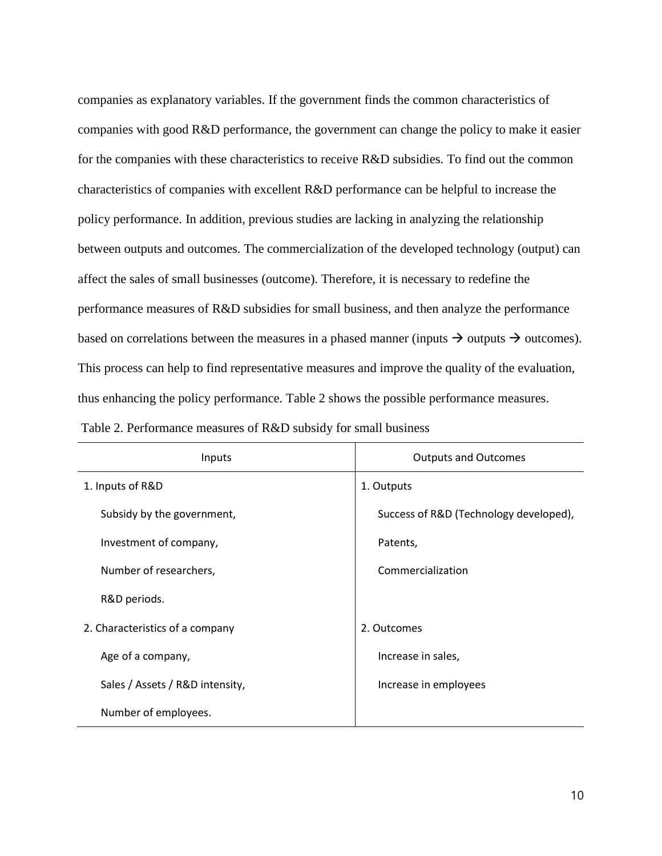companies as explanatory variables. If the government finds the common characteristics of companies with good R&D performance, the government can change the policy to make it easier for the companies with these characteristics to receive R&D subsidies. To find out the common characteristics of companies with excellent R&D performance can be helpful to increase the policy performance. In addition, previous studies are lacking in analyzing the relationship between outputs and outcomes. The commercialization of the developed technology (output) can affect the sales of small businesses (outcome). Therefore, it is necessary to redefine the performance measures of R&D subsidies for small business, and then analyze the performance based on correlations between the measures in a phased manner (inputs  $\rightarrow$  outputs  $\rightarrow$  outcomes). This process can help to find representative measures and improve the quality of the evaluation, thus enhancing the policy performance. Table 2 shows the possible performance measures.

| Inputs                          | <b>Outputs and Outcomes</b>            |  |  |  |
|---------------------------------|----------------------------------------|--|--|--|
| 1. Inputs of R&D                | 1. Outputs                             |  |  |  |
| Subsidy by the government,      | Success of R&D (Technology developed), |  |  |  |
| Investment of company,          | Patents,                               |  |  |  |
| Number of researchers,          | Commercialization                      |  |  |  |
| R&D periods.                    |                                        |  |  |  |
| 2. Characteristics of a company | 2. Outcomes                            |  |  |  |
| Age of a company,               | Increase in sales,                     |  |  |  |
| Sales / Assets / R&D intensity, | Increase in employees                  |  |  |  |
| Number of employees.            |                                        |  |  |  |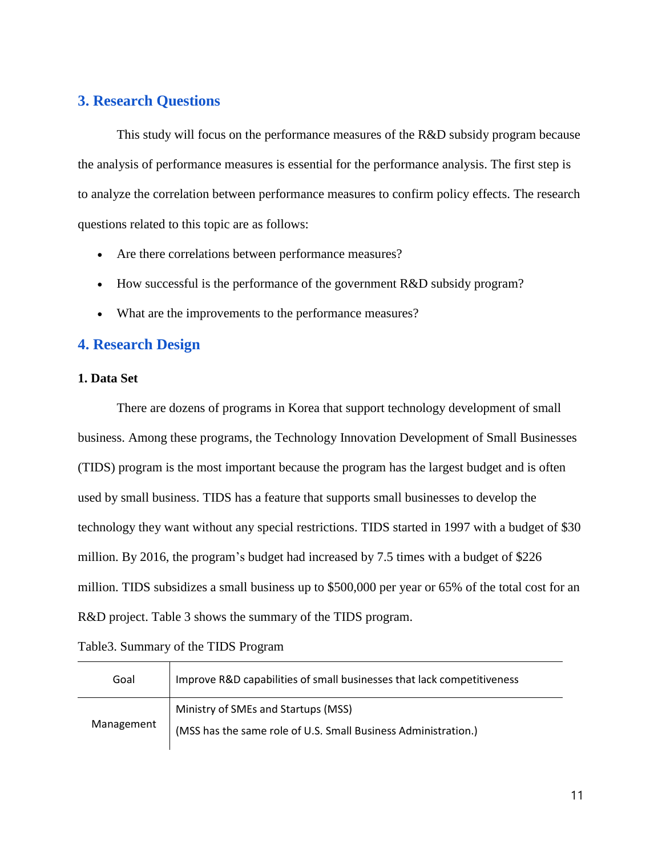## **3. Research Questions**

This study will focus on the performance measures of the R&D subsidy program because the analysis of performance measures is essential for the performance analysis. The first step is to analyze the correlation between performance measures to confirm policy effects. The research questions related to this topic are as follows:

- Are there correlations between performance measures?
- How successful is the performance of the government R&D subsidy program?
- What are the improvements to the performance measures?

## **4. Research Design**

#### **1. Data Set**

There are dozens of programs in Korea that support technology development of small business. Among these programs, the Technology Innovation Development of Small Businesses (TIDS) program is the most important because the program has the largest budget and is often used by small business. TIDS has a feature that supports small businesses to develop the technology they want without any special restrictions. TIDS started in 1997 with a budget of \$30 million. By 2016, the program's budget had increased by 7.5 times with a budget of \$226 million. TIDS subsidizes a small business up to \$500,000 per year or 65% of the total cost for an R&D project. Table 3 shows the summary of the TIDS program.

Table3. Summary of the TIDS Program

| Goal       | Improve R&D capabilities of small businesses that lack competitiveness                                |  |  |  |  |  |  |  |
|------------|-------------------------------------------------------------------------------------------------------|--|--|--|--|--|--|--|
| Management | Ministry of SMEs and Startups (MSS)<br>(MSS has the same role of U.S. Small Business Administration.) |  |  |  |  |  |  |  |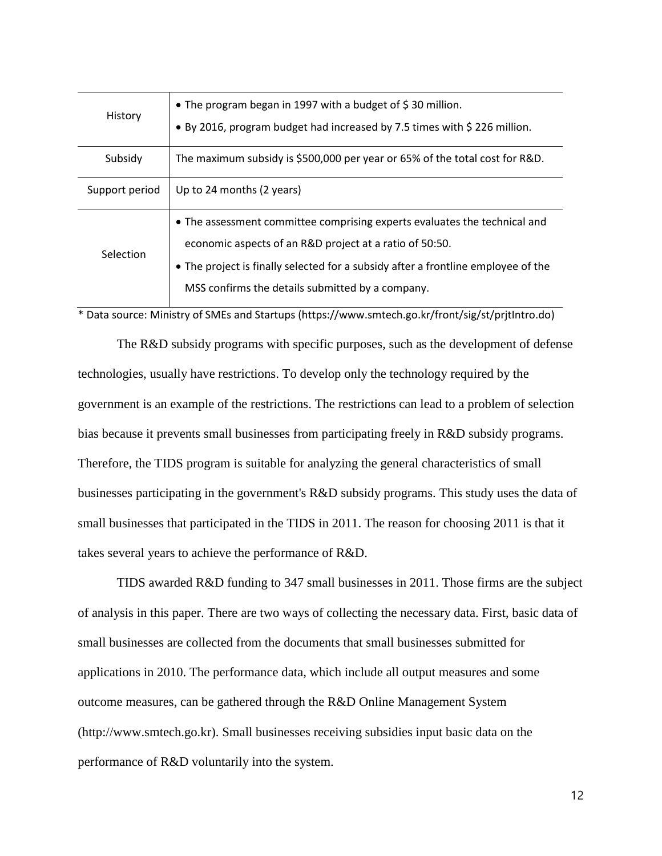| History        | • The program began in 1997 with a budget of \$30 million.<br>• By 2016, program budget had increased by 7.5 times with \$226 million.                                                                                                                                        |
|----------------|-------------------------------------------------------------------------------------------------------------------------------------------------------------------------------------------------------------------------------------------------------------------------------|
| Subsidy        | The maximum subsidy is \$500,000 per year or 65% of the total cost for R&D.                                                                                                                                                                                                   |
| Support period | Up to 24 months (2 years)                                                                                                                                                                                                                                                     |
| Selection      | • The assessment committee comprising experts evaluates the technical and<br>economic aspects of an R&D project at a ratio of 50:50.<br>• The project is finally selected for a subsidy after a frontline employee of the<br>MSS confirms the details submitted by a company. |

\* Data source: Ministry of SMEs and Startups (https://www.smtech.go.kr/front/sig/st/prjtIntro.do)

The R&D subsidy programs with specific purposes, such as the development of defense technologies, usually have restrictions. To develop only the technology required by the government is an example of the restrictions. The restrictions can lead to a problem of selection bias because it prevents small businesses from participating freely in R&D subsidy programs. Therefore, the TIDS program is suitable for analyzing the general characteristics of small businesses participating in the government's R&D subsidy programs. This study uses the data of small businesses that participated in the TIDS in 2011. The reason for choosing 2011 is that it takes several years to achieve the performance of R&D.

TIDS awarded R&D funding to 347 small businesses in 2011. Those firms are the subject of analysis in this paper. There are two ways of collecting the necessary data. First, basic data of small businesses are collected from the documents that small businesses submitted for applications in 2010. The performance data, which include all output measures and some outcome measures, can be gathered through the R&D Online Management System (http://www.smtech.go.kr). Small businesses receiving subsidies input basic data on the performance of R&D voluntarily into the system.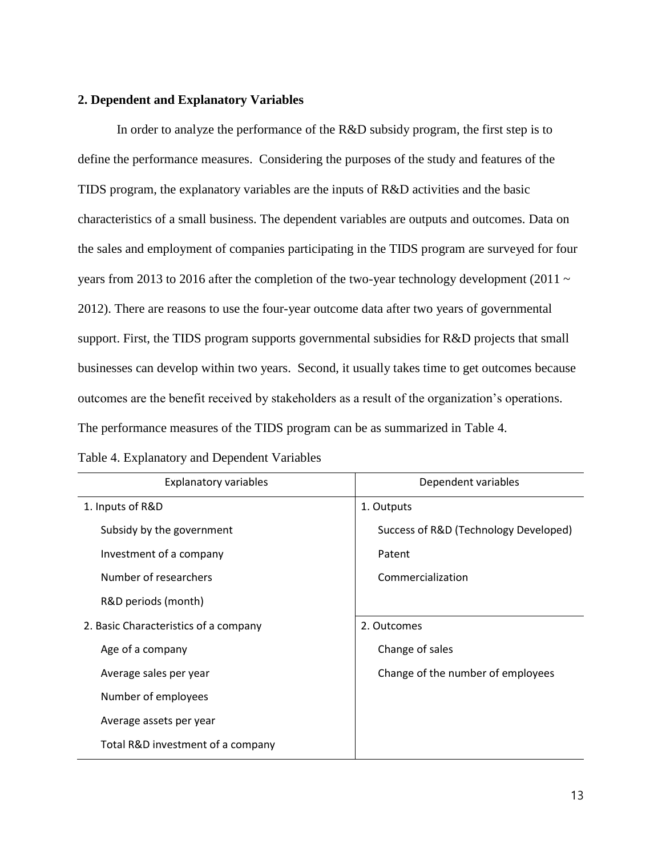#### **2. Dependent and Explanatory Variables**

In order to analyze the performance of the R&D subsidy program, the first step is to define the performance measures. Considering the purposes of the study and features of the TIDS program, the explanatory variables are the inputs of R&D activities and the basic characteristics of a small business. The dependent variables are outputs and outcomes. Data on the sales and employment of companies participating in the TIDS program are surveyed for four years from 2013 to 2016 after the completion of the two-year technology development (2011  $\sim$ 2012). There are reasons to use the four-year outcome data after two years of governmental support. First, the TIDS program supports governmental subsidies for R&D projects that small businesses can develop within two years. Second, it usually takes time to get outcomes because outcomes are the benefit received by stakeholders as a result of the organization's operations. The performance measures of the TIDS program can be as summarized in Table 4.

| <b>Explanatory variables</b>          | Dependent variables                   |  |  |  |
|---------------------------------------|---------------------------------------|--|--|--|
| 1. Inputs of R&D                      | 1. Outputs                            |  |  |  |
| Subsidy by the government             | Success of R&D (Technology Developed) |  |  |  |
| Investment of a company               | Patent                                |  |  |  |
| Number of researchers                 | Commercialization                     |  |  |  |
| R&D periods (month)                   |                                       |  |  |  |
| 2. Basic Characteristics of a company | 2. Outcomes                           |  |  |  |
| Age of a company                      | Change of sales                       |  |  |  |
| Average sales per year                | Change of the number of employees     |  |  |  |
| Number of employees                   |                                       |  |  |  |
| Average assets per year               |                                       |  |  |  |
| Total R&D investment of a company     |                                       |  |  |  |

|  |  | Table 4. Explanatory and Dependent Variables |  |
|--|--|----------------------------------------------|--|
|--|--|----------------------------------------------|--|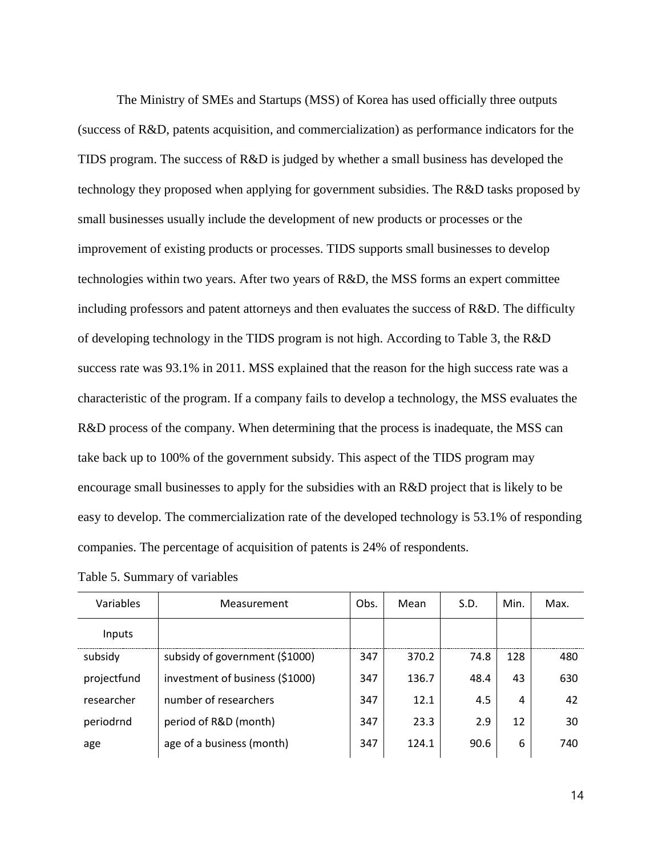The Ministry of SMEs and Startups (MSS) of Korea has used officially three outputs (success of R&D, patents acquisition, and commercialization) as performance indicators for the TIDS program. The success of R&D is judged by whether a small business has developed the technology they proposed when applying for government subsidies. The R&D tasks proposed by small businesses usually include the development of new products or processes or the improvement of existing products or processes. TIDS supports small businesses to develop technologies within two years. After two years of R&D, the MSS forms an expert committee including professors and patent attorneys and then evaluates the success of R&D. The difficulty of developing technology in the TIDS program is not high. According to Table 3, the R&D success rate was 93.1% in 2011. MSS explained that the reason for the high success rate was a characteristic of the program. If a company fails to develop a technology, the MSS evaluates the R&D process of the company. When determining that the process is inadequate, the MSS can take back up to 100% of the government subsidy. This aspect of the TIDS program may encourage small businesses to apply for the subsidies with an R&D project that is likely to be easy to develop. The commercialization rate of the developed technology is 53.1% of responding companies. The percentage of acquisition of patents is 24% of respondents.

| Variables   | Measurement                     |     | Obs.<br>Mean |      | Min. | Max. |
|-------------|---------------------------------|-----|--------------|------|------|------|
| Inputs      |                                 |     |              |      |      |      |
| subsidy     | subsidy of government (\$1000)  | 347 | 370.2        | 74.8 | 128  | 480  |
| projectfund | investment of business (\$1000) | 347 | 136.7        | 48.4 | 43   | 630  |
| researcher  | number of researchers           | 347 | 12.1         | 4.5  | 4    | 42   |
| periodrnd   | period of R&D (month)           | 347 | 23.3         | 2.9  | 12   | 30   |
| age         | age of a business (month)       | 347 | 124.1        | 90.6 | 6    | 740  |

Table 5. Summary of variables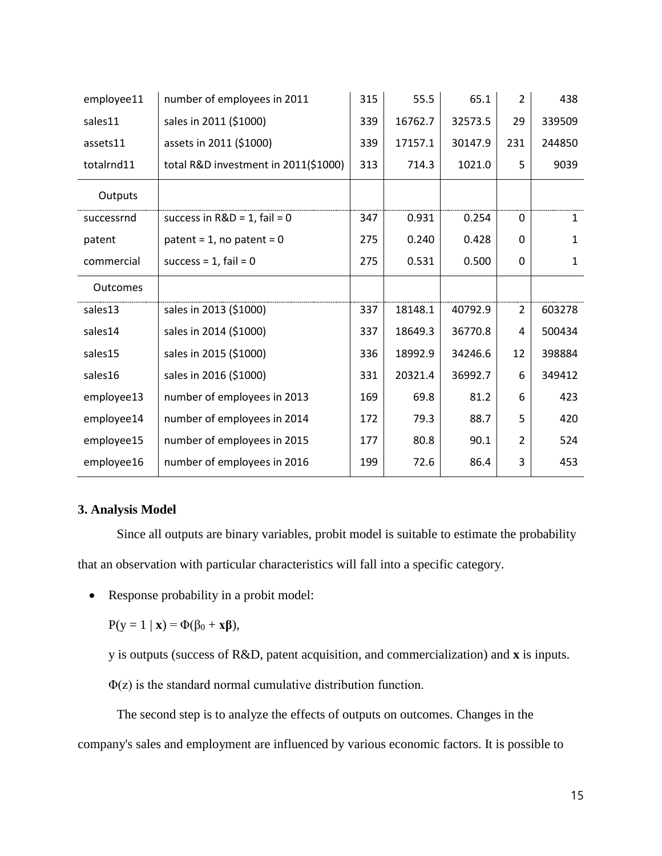| employee11      | number of employees in 2011          | 315 | 55.5    | 65.1    | $\overline{2}$ | 438          |
|-----------------|--------------------------------------|-----|---------|---------|----------------|--------------|
| sales11         | sales in 2011 (\$1000)               | 339 | 16762.7 | 32573.5 | 29             | 339509       |
| assets11        | assets in 2011 (\$1000)              | 339 | 17157.1 | 30147.9 | 231            | 244850       |
| totalrnd11      | total R&D investment in 2011(\$1000) | 313 | 714.3   | 1021.0  | 5              | 9039         |
| Outputs         |                                      |     |         |         |                |              |
| successrnd      | success in $R&D = 1$ , fail = 0      | 347 | 0.931   | 0.254   | 0              | $\mathbf{1}$ |
| patent          | patent = $1$ , no patent = $0$       | 275 | 0.240   | 0.428   | $\mathbf{0}$   | $\mathbf{1}$ |
| commercial      | success = $1$ , fail = $0$           | 275 | 0.531   | 0.500   | $\Omega$       | $\mathbf{1}$ |
| <b>Outcomes</b> |                                      |     |         |         |                |              |
| sales13         | sales in 2013 (\$1000)               | 337 | 18148.1 | 40792.9 | $\overline{2}$ | 603278       |
| sales14         | sales in 2014 (\$1000)               | 337 | 18649.3 | 36770.8 | 4              | 500434       |
| sales15         | sales in 2015 (\$1000)               | 336 | 18992.9 | 34246.6 | 12             | 398884       |
| sales16         | sales in 2016 (\$1000)               | 331 | 20321.4 | 36992.7 | 6              | 349412       |
| employee13      | number of employees in 2013          | 169 | 69.8    | 81.2    | 6              | 423          |
| employee14      | number of employees in 2014          | 172 | 79.3    | 88.7    | 5              | 420          |
| employee15      | number of employees in 2015          | 177 | 80.8    | 90.1    | 2              | 524          |
| employee16      | number of employees in 2016          | 199 | 72.6    | 86.4    | 3              | 453          |

## **3. Analysis Model**

Since all outputs are binary variables, probit model is suitable to estimate the probability that an observation with particular characteristics will fall into a specific category.

• Response probability in a probit model:

 $P(y = 1 | x) = \Phi(\beta_0 + x\beta),$ 

y is outputs (success of R&D, patent acquisition, and commercialization) and **x** is inputs.

 $\Phi(z)$  is the standard normal cumulative distribution function.

The second step is to analyze the effects of outputs on outcomes. Changes in the company's sales and employment are influenced by various economic factors. It is possible to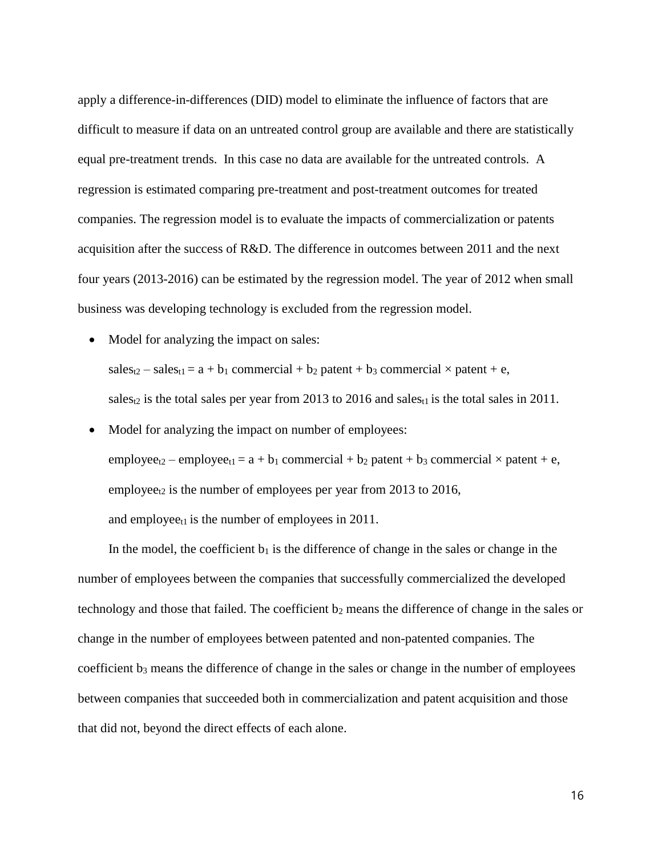apply a difference-in-differences (DID) model to eliminate the influence of factors that are difficult to measure if data on an untreated control group are available and there are statistically equal pre-treatment trends. In this case no data are available for the untreated controls. A regression is estimated comparing pre-treatment and post-treatment outcomes for treated companies. The regression model is to evaluate the impacts of commercialization or patents acquisition after the success of R&D. The difference in outcomes between 2011 and the next four years (2013-2016) can be estimated by the regression model. The year of 2012 when small business was developing technology is excluded from the regression model.

• Model for analyzing the impact on sales:  $sales_{t2} - sales_{t1} = a + b_1$  commercial + b<sub>2</sub> patent + b<sub>3</sub> commercial × patent + e,

sales<sub>t2</sub> is the total sales per year from 2013 to 2016 and sales<sub>t1</sub> is the total sales in 2011.

• Model for analyzing the impact on number of employees:  $employee_{t2}$  – employee<sub>t1</sub> = a + b<sub>1</sub> commercial + b<sub>2</sub> patent + b<sub>3</sub> commercial  $\times$  patent + e, employee<sub>t2</sub> is the number of employees per year from 2013 to 2016, and employee $t_1$  is the number of employees in 2011.

In the model, the coefficient  $b_1$  is the difference of change in the sales or change in the number of employees between the companies that successfully commercialized the developed technology and those that failed. The coefficient b<sub>2</sub> means the difference of change in the sales or change in the number of employees between patented and non-patented companies. The coefficient b<sub>3</sub> means the difference of change in the sales or change in the number of employees between companies that succeeded both in commercialization and patent acquisition and those that did not, beyond the direct effects of each alone.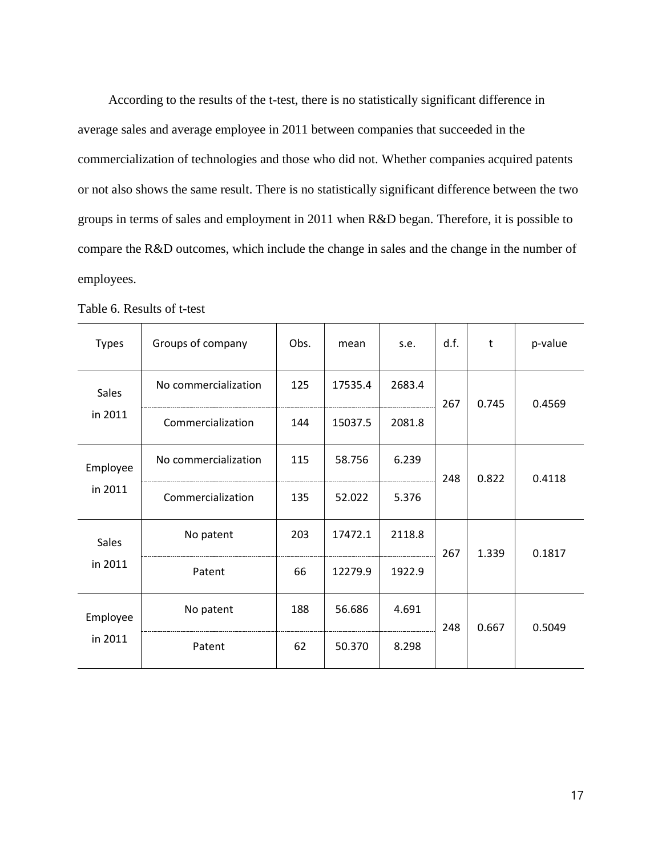According to the results of the t-test, there is no statistically significant difference in average sales and average employee in 2011 between companies that succeeded in the commercialization of technologies and those who did not. Whether companies acquired patents or not also shows the same result. There is no statistically significant difference between the two groups in terms of sales and employment in 2011 when R&D began. Therefore, it is possible to compare the R&D outcomes, which include the change in sales and the change in the number of employees.

| <b>Types</b>            | Groups of company    | Obs. | mean    | s.e.   | d.f. | t     | p-value |
|-------------------------|----------------------|------|---------|--------|------|-------|---------|
| <b>Sales</b>            | No commercialization | 125  | 17535.4 | 2683.4 | 267  | 0.745 | 0.4569  |
| in 2011                 | Commercialization    | 144  | 15037.5 | 2081.8 |      |       |         |
| Employee<br>in 2011     | No commercialization | 115  | 58.756  | 6.239  | 248  | 0.822 | 0.4118  |
|                         | Commercialization    | 135  | 52.022  | 5.376  |      |       |         |
| <b>Sales</b><br>in 2011 | No patent            | 203  | 17472.1 | 2118.8 | 267  | 1.339 | 0.1817  |
|                         | Patent               | 66   | 12279.9 | 1922.9 |      |       |         |
| Employee<br>in 2011     | No patent            | 188  | 56.686  | 4.691  | 248  | 0.667 | 0.5049  |
|                         | Patent               | 62   | 50.370  | 8.298  |      |       |         |

Table 6. Results of t-test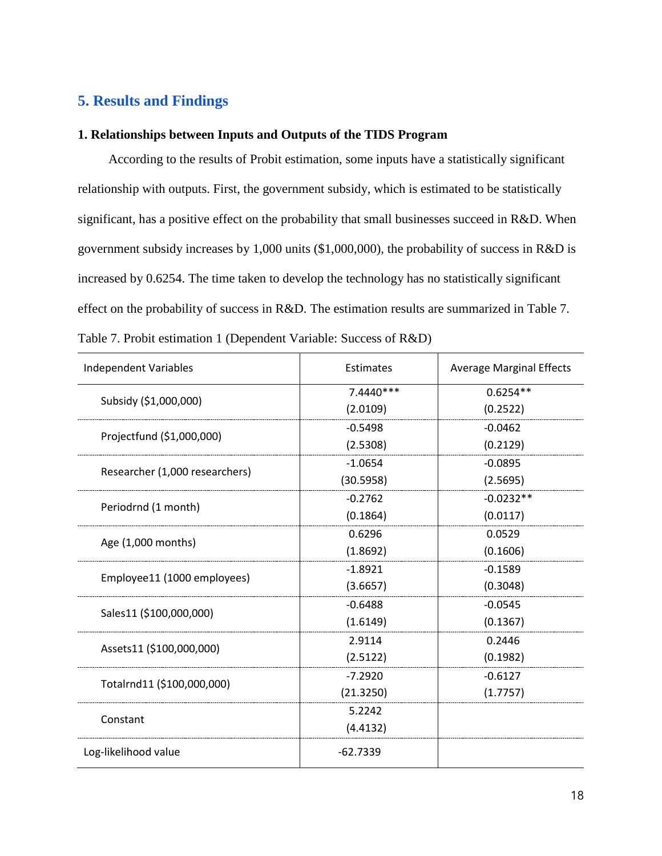## **5. Results and Findings**

#### **1. Relationships between Inputs and Outputs of the TIDS Program**

According to the results of Probit estimation, some inputs have a statistically significant relationship with outputs. First, the government subsidy, which is estimated to be statistically significant, has a positive effect on the probability that small businesses succeed in R&D. When government subsidy increases by 1,000 units (\$1,000,000), the probability of success in R&D is increased by 0.6254. The time taken to develop the technology has no statistically significant effect on the probability of success in R&D. The estimation results are summarized in Table 7. Table 7. Probit estimation 1 (Dependent Variable: Success of R&D)

| <b>Independent Variables</b>   | Estimates   | <b>Average Marginal Effects</b> |
|--------------------------------|-------------|---------------------------------|
| Subsidy (\$1,000,000)          | $7.4440***$ | $0.6254**$                      |
|                                | (2.0109)    | (0.2522)                        |
| Projectfund (\$1,000,000)      | $-0.5498$   | $-0.0462$                       |
|                                | (2.5308)    | (0.2129)                        |
| Researcher (1,000 researchers) | $-1.0654$   | $-0.0895$                       |
|                                | (30.5958)   | (2.5695)                        |
|                                | $-0.2762$   | $-0.0232**$                     |
| Periodrnd (1 month)            | (0.1864)    | (0.0117)                        |
| Age (1,000 months)             | 0.6296      | 0.0529                          |
|                                | (1.8692)    | (0.1606)                        |
| Employee11 (1000 employees)    | $-1.8921$   | $-0.1589$                       |
|                                | (3.6657)    | (0.3048)                        |
| Sales11 (\$100,000,000)        | $-0.6488$   | $-0.0545$                       |
|                                | (1.6149)    | (0.1367)                        |
| Assets11 (\$100,000,000)       | 2.9114      | 0.2446                          |
|                                | (2.5122)    | (0.1982)                        |
|                                | $-7.2920$   | $-0.6127$                       |
| Totalrnd11 (\$100,000,000)     | (21.3250)   | (1.7757)                        |
| Constant                       | 5.2242      |                                 |
|                                | (4.4132)    |                                 |
| Log-likelihood value           | $-62.7339$  |                                 |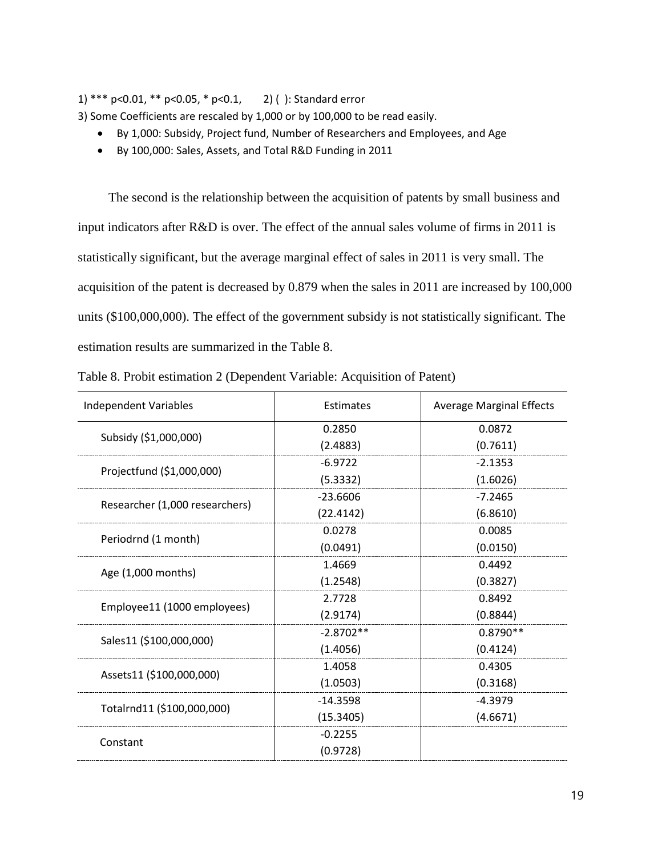1) \*\*\* p<0.01, \*\* p<0.05, \* p<0.1, 2) ( ): Standard error

3) Some Coefficients are rescaled by 1,000 or by 100,000 to be read easily.

- By 1,000: Subsidy, Project fund, Number of Researchers and Employees, and Age
- By 100,000: Sales, Assets, and Total R&D Funding in 2011

The second is the relationship between the acquisition of patents by small business and input indicators after R&D is over. The effect of the annual sales volume of firms in 2011 is statistically significant, but the average marginal effect of sales in 2011 is very small. The acquisition of the patent is decreased by 0.879 when the sales in 2011 are increased by 100,000 units (\$100,000,000). The effect of the government subsidy is not statistically significant. The estimation results are summarized in the Table 8.

| Independent Variables          | Estimates   | <b>Average Marginal Effects</b> |
|--------------------------------|-------------|---------------------------------|
| Subsidy (\$1,000,000)          | 0.2850      | 0.0872                          |
|                                | (2.4883)    | (0.7611)                        |
| Projectfund (\$1,000,000)      | $-6.9722$   | $-2.1353$                       |
|                                | (5.3332)    | (1.6026)                        |
| Researcher (1,000 researchers) | $-23.6606$  | $-7.2465$                       |
|                                | (22.4142)   | (6.8610)                        |
| Periodrnd (1 month)            | 0.0278      | 0.0085                          |
|                                | (0.0491)    | (0.0150)                        |
| Age (1,000 months)             | 1.4669      | 0.4492                          |
|                                | (1.2548)    | (0.3827)                        |
| Employee11 (1000 employees)    | 2.7728      | 0.8492                          |
|                                | (2.9174)    | (0.8844)                        |
| Sales11 (\$100,000,000)        | $-2.8702**$ | $0.8790**$                      |
|                                | (1.4056)    | (0.4124)                        |
| Assets11 (\$100,000,000)       | 1.4058      | 0.4305                          |
|                                | (1.0503)    | (0.3168)                        |
|                                | $-14.3598$  | $-4.3979$                       |
| Totalrnd11 (\$100,000,000)     | (15.3405)   | (4.6671)                        |
|                                | $-0.2255$   |                                 |
| Constant                       | (0.9728)    |                                 |

Table 8. Probit estimation 2 (Dependent Variable: Acquisition of Patent)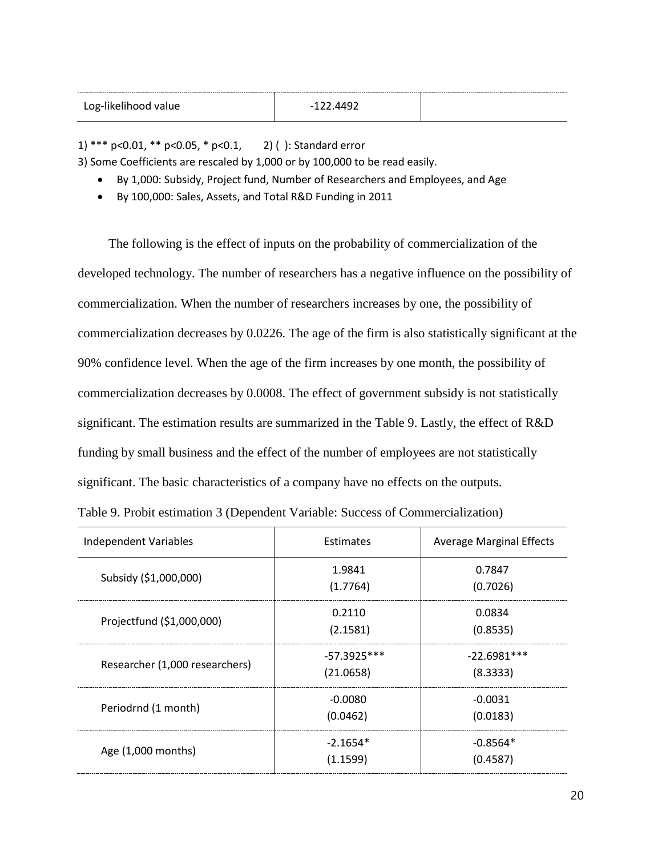| Log-likelihood value | $-122.4492$ |  |
|----------------------|-------------|--|
|                      |             |  |

1) \*\*\* p<0.01, \*\* p<0.05, \* p<0.1, 2) ( ): Standard error

3) Some Coefficients are rescaled by 1,000 or by 100,000 to be read easily.

- By 1,000: Subsidy, Project fund, Number of Researchers and Employees, and Age
- By 100,000: Sales, Assets, and Total R&D Funding in 2011

The following is the effect of inputs on the probability of commercialization of the developed technology. The number of researchers has a negative influence on the possibility of commercialization. When the number of researchers increases by one, the possibility of commercialization decreases by 0.0226. The age of the firm is also statistically significant at the 90% confidence level. When the age of the firm increases by one month, the possibility of commercialization decreases by 0.0008. The effect of government subsidy is not statistically significant. The estimation results are summarized in the Table 9. Lastly, the effect of R&D funding by small business and the effect of the number of employees are not statistically significant. The basic characteristics of a company have no effects on the outputs.

Table 9. Probit estimation 3 (Dependent Variable: Success of Commercialization)

| <b>Independent Variables</b>   | Estimates                  | <b>Average Marginal Effects</b> |
|--------------------------------|----------------------------|---------------------------------|
| Subsidy (\$1,000,000)          | 1.9841<br>(1.7764)         | 0.7847<br>(0.7026)              |
| Projectfund (\$1,000,000)      | 0.2110<br>(2.1581)         | 0.0834<br>(0.8535)              |
| Researcher (1,000 researchers) | $-57.3925***$<br>(21.0658) | $-22.6981***$<br>(8.3333)       |
| Periodrnd (1 month)            | $-0.0080$<br>(0.0462)      | $-0.0031$<br>(0.0183)           |
| Age (1,000 months)             | $-2.1654*$<br>(1.1599)     | $-0.8564*$<br>(0.4587)          |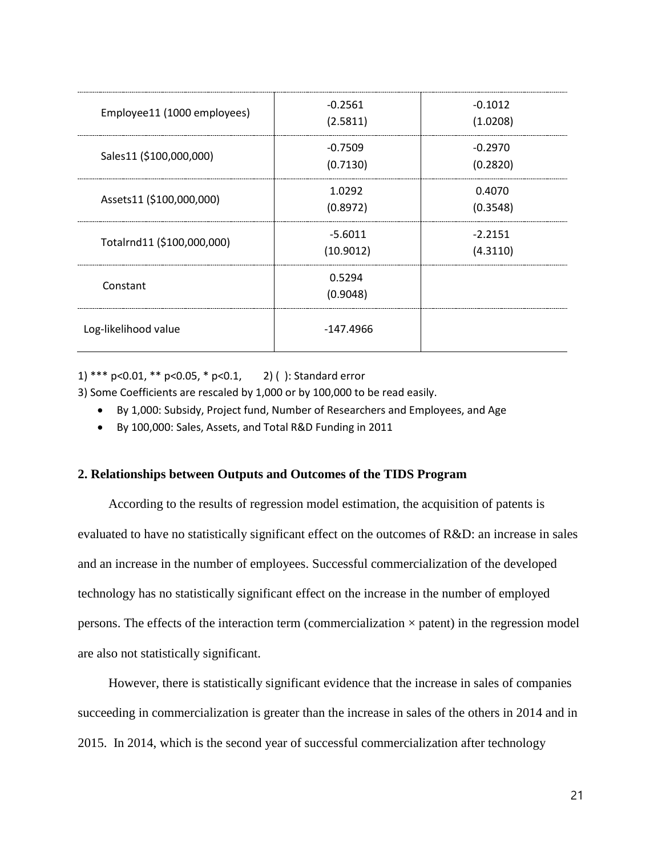| Employee11 (1000 employees) | $-0.2561$<br>(2.5811)  | $-0.1012$<br>(1.0208) |
|-----------------------------|------------------------|-----------------------|
| Sales11 (\$100,000,000)     | $-0.7509$<br>(0.7130)  | $-0.2970$<br>(0.2820) |
| Assets11 (\$100,000,000)    | 1.0292<br>(0.8972)     | 0.4070<br>(0.3548)    |
| Totalrnd11 (\$100,000,000)  | $-5.6011$<br>(10.9012) | $-2.2151$<br>(4.3110) |
| Constant                    | 0.5294<br>(0.9048)     |                       |
| Log-likelihood value        | $-147.4966$            |                       |

1) \*\*\* p<0.01, \*\* p<0.05, \* p<0.1, 2) ( ): Standard error

3) Some Coefficients are rescaled by 1,000 or by 100,000 to be read easily.

- By 1,000: Subsidy, Project fund, Number of Researchers and Employees, and Age
- By 100,000: Sales, Assets, and Total R&D Funding in 2011

#### **2. Relationships between Outputs and Outcomes of the TIDS Program**

According to the results of regression model estimation, the acquisition of patents is evaluated to have no statistically significant effect on the outcomes of R&D: an increase in sales and an increase in the number of employees. Successful commercialization of the developed technology has no statistically significant effect on the increase in the number of employed persons. The effects of the interaction term (commercialization  $\times$  patent) in the regression model are also not statistically significant.

However, there is statistically significant evidence that the increase in sales of companies succeeding in commercialization is greater than the increase in sales of the others in 2014 and in 2015. In 2014, which is the second year of successful commercialization after technology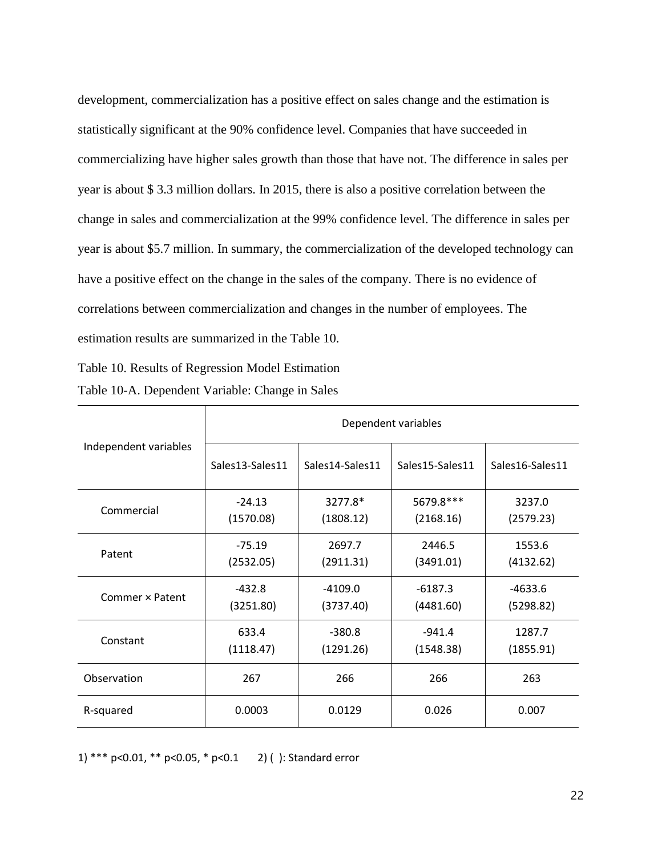development, commercialization has a positive effect on sales change and the estimation is statistically significant at the 90% confidence level. Companies that have succeeded in commercializing have higher sales growth than those that have not. The difference in sales per year is about \$ 3.3 million dollars. In 2015, there is also a positive correlation between the change in sales and commercialization at the 99% confidence level. The difference in sales per year is about \$5.7 million. In summary, the commercialization of the developed technology can have a positive effect on the change in the sales of the company. There is no evidence of correlations between commercialization and changes in the number of employees. The estimation results are summarized in the Table 10.

Table 10. Results of Regression Model Estimation

| Table 10-A. Dependent Variable: Change in Sales |  |  |  |
|-------------------------------------------------|--|--|--|
|-------------------------------------------------|--|--|--|

|                       | Dependent variables |                 |                 |                 |
|-----------------------|---------------------|-----------------|-----------------|-----------------|
| Independent variables | Sales13-Sales11     | Sales14-Sales11 | Sales15-Sales11 | Sales16-Sales11 |
| Commercial            | $-24.13$            | 3277.8*         | 5679.8***       | 3237.0          |
|                       | (1570.08)           | (1808.12)       | (2168.16)       | (2579.23)       |
| Patent                | $-75.19$            | 2697.7          | 2446.5          | 1553.6          |
|                       | (2532.05)           | (2911.31)       | (3491.01)       | (4132.62)       |
| Commer × Patent       | $-432.8$            | $-4109.0$       | $-6187.3$       | $-4633.6$       |
|                       | (3251.80)           | (3737.40)       | (4481.60)       | (5298.82)       |
| Constant              | 633.4               | $-380.8$        | $-941.4$        | 1287.7          |
|                       | (1118.47)           | (1291.26)       | (1548.38)       | (1855.91)       |
| Observation           | 267                 | 266             | 266             | 263             |
| R-squared             | 0.0003              | 0.0129          | 0.026           | 0.007           |

1) \*\*\* p<0.01, \*\* p<0.05, \* p<0.1 2) ( ): Standard error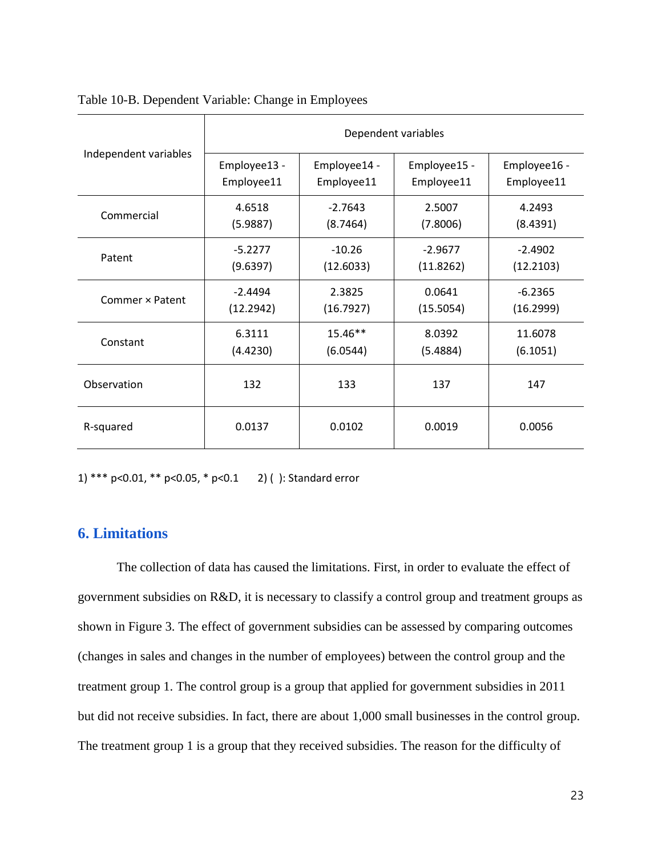|                       | Dependent variables |              |              |              |
|-----------------------|---------------------|--------------|--------------|--------------|
| Independent variables | Employee13 -        | Employee14 - | Employee15 - | Employee16 - |
|                       | Employee11          | Employee11   | Employee11   | Employee11   |
| Commercial            | 4.6518              | $-2.7643$    | 2.5007       | 4.2493       |
|                       | (5.9887)            | (8.7464)     | (7.8006)     | (8.4391)     |
| Patent                | $-5.2277$           | $-10.26$     | $-2.9677$    | $-2.4902$    |
|                       | (9.6397)            | (12.6033)    | (11.8262)    | (12.2103)    |
| Commer x Patent       | $-2.4494$           | 2.3825       | 0.0641       | $-6.2365$    |
|                       | (12.2942)           | (16.7927)    | (15.5054)    | (16.2999)    |
| Constant              | 6.3111              | 15.46**      | 8.0392       | 11.6078      |
|                       | (4.4230)            | (6.0544)     | (5.4884)     | (6.1051)     |
| Observation           | 132                 | 133          | 137          | 147          |
| R-squared             | 0.0137              | 0.0102       | 0.0019       | 0.0056       |

#### Table 10-B. Dependent Variable: Change in Employees

1) \*\*\* p<0.01, \*\* p<0.05, \* p<0.1 2) ( ): Standard error

## **6. Limitations**

The collection of data has caused the limitations. First, in order to evaluate the effect of government subsidies on R&D, it is necessary to classify a control group and treatment groups as shown in Figure 3. The effect of government subsidies can be assessed by comparing outcomes (changes in sales and changes in the number of employees) between the control group and the treatment group 1. The control group is a group that applied for government subsidies in 2011 but did not receive subsidies. In fact, there are about 1,000 small businesses in the control group. The treatment group 1 is a group that they received subsidies. The reason for the difficulty of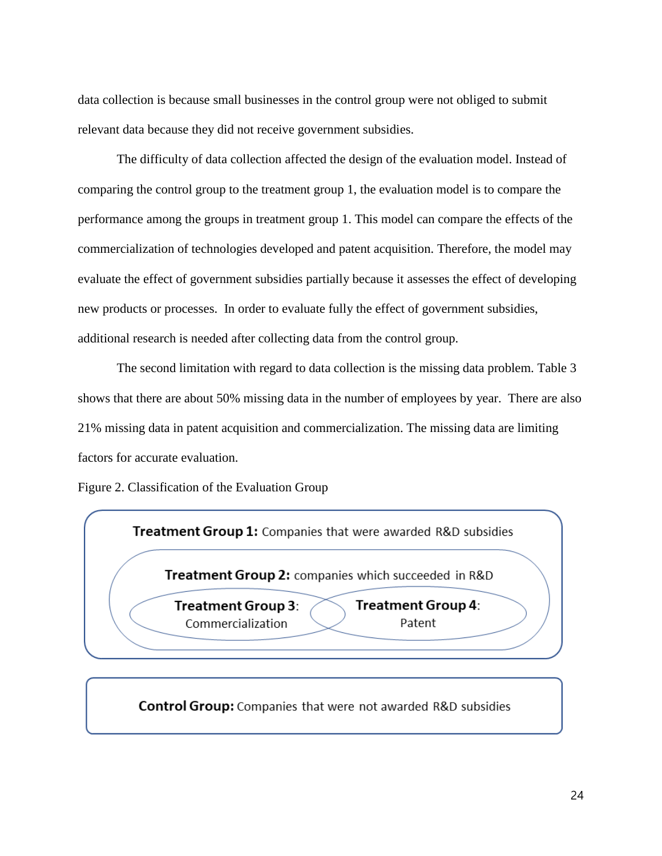data collection is because small businesses in the control group were not obliged to submit relevant data because they did not receive government subsidies.

The difficulty of data collection affected the design of the evaluation model. Instead of comparing the control group to the treatment group 1, the evaluation model is to compare the performance among the groups in treatment group 1. This model can compare the effects of the commercialization of technologies developed and patent acquisition. Therefore, the model may evaluate the effect of government subsidies partially because it assesses the effect of developing new products or processes. In order to evaluate fully the effect of government subsidies, additional research is needed after collecting data from the control group.

The second limitation with regard to data collection is the missing data problem. Table 3 shows that there are about 50% missing data in the number of employees by year. There are also 21% missing data in patent acquisition and commercialization. The missing data are limiting factors for accurate evaluation.

Figure 2. Classification of the Evaluation Group



**Control Group:** Companies that were not awarded R&D subsidies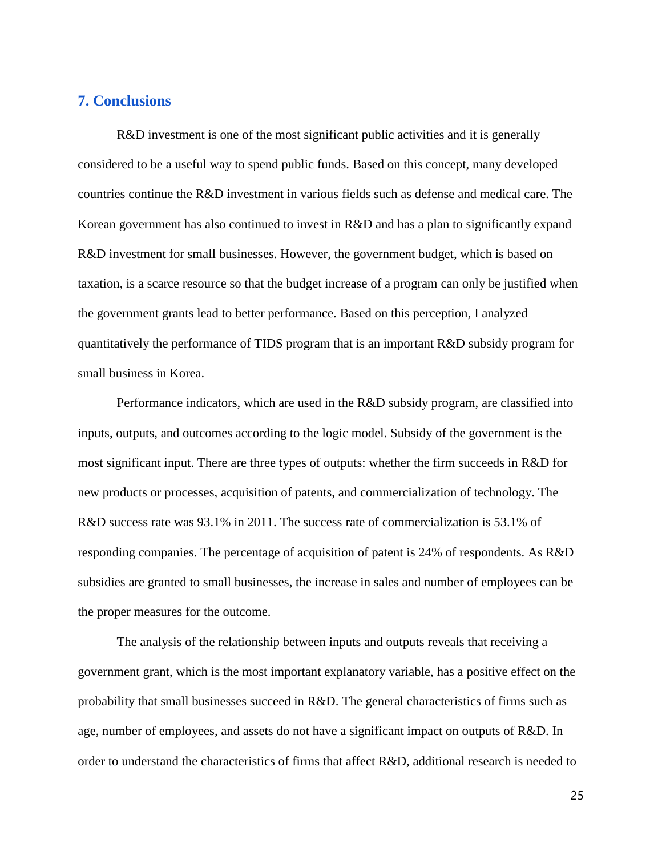## **7. Conclusions**

R&D investment is one of the most significant public activities and it is generally considered to be a useful way to spend public funds. Based on this concept, many developed countries continue the R&D investment in various fields such as defense and medical care. The Korean government has also continued to invest in R&D and has a plan to significantly expand R&D investment for small businesses. However, the government budget, which is based on taxation, is a scarce resource so that the budget increase of a program can only be justified when the government grants lead to better performance. Based on this perception, I analyzed quantitatively the performance of TIDS program that is an important R&D subsidy program for small business in Korea.

Performance indicators, which are used in the R&D subsidy program, are classified into inputs, outputs, and outcomes according to the logic model. Subsidy of the government is the most significant input. There are three types of outputs: whether the firm succeeds in R&D for new products or processes, acquisition of patents, and commercialization of technology. The R&D success rate was 93.1% in 2011. The success rate of commercialization is 53.1% of responding companies. The percentage of acquisition of patent is 24% of respondents. As R&D subsidies are granted to small businesses, the increase in sales and number of employees can be the proper measures for the outcome.

The analysis of the relationship between inputs and outputs reveals that receiving a government grant, which is the most important explanatory variable, has a positive effect on the probability that small businesses succeed in R&D. The general characteristics of firms such as age, number of employees, and assets do not have a significant impact on outputs of R&D. In order to understand the characteristics of firms that affect R&D, additional research is needed to

25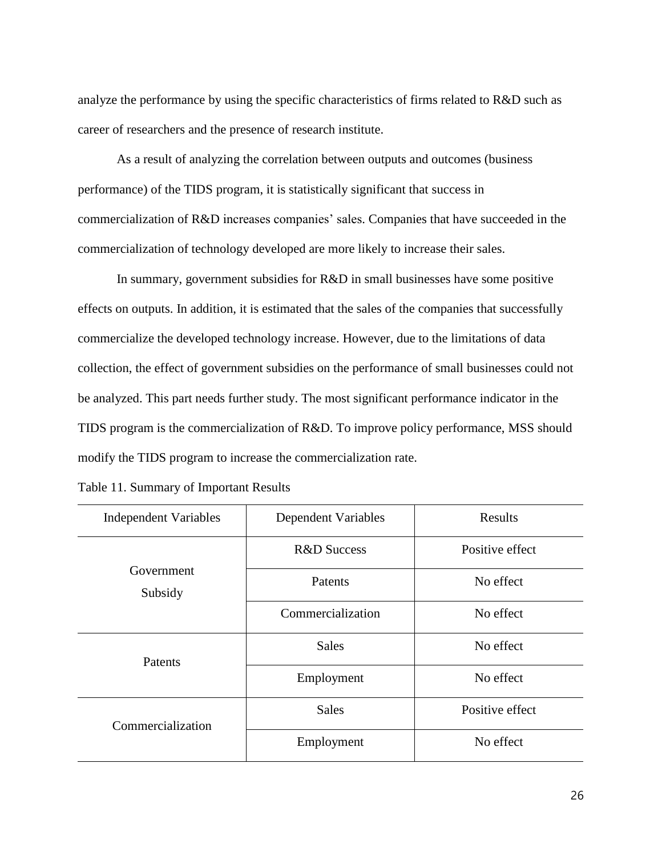analyze the performance by using the specific characteristics of firms related to R&D such as career of researchers and the presence of research institute.

As a result of analyzing the correlation between outputs and outcomes (business performance) of the TIDS program, it is statistically significant that success in commercialization of R&D increases companies' sales. Companies that have succeeded in the commercialization of technology developed are more likely to increase their sales.

In summary, government subsidies for R&D in small businesses have some positive effects on outputs. In addition, it is estimated that the sales of the companies that successfully commercialize the developed technology increase. However, due to the limitations of data collection, the effect of government subsidies on the performance of small businesses could not be analyzed. This part needs further study. The most significant performance indicator in the TIDS program is the commercialization of R&D. To improve policy performance, MSS should modify the TIDS program to increase the commercialization rate.

| <b>Independent Variables</b> | Dependent Variables    | Results         |
|------------------------------|------------------------|-----------------|
|                              | <b>R&amp;D</b> Success | Positive effect |
| Government<br>Subsidy        | Patents                | No effect       |
|                              | Commercialization      | No effect       |
| Patents                      | <b>Sales</b>           | No effect       |
|                              | Employment             | No effect       |
| Commercialization            | <b>Sales</b>           | Positive effect |
|                              | Employment             | No effect       |

Table 11. Summary of Important Results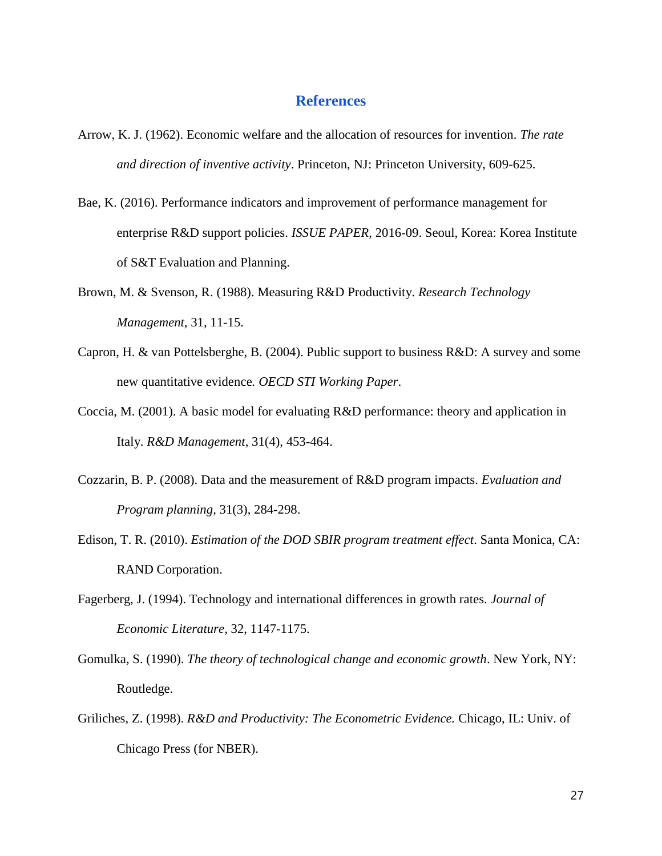### **References**

- Arrow, K. J. (1962). Economic welfare and the allocation of resources for invention. *The rate and direction of inventive activity*. Princeton, NJ: Princeton University, 609-625.
- Bae, K. (2016). Performance indicators and improvement of performance management for enterprise R&D support policies. *ISSUE PAPER,* 2016-09. Seoul, Korea: Korea Institute of S&T Evaluation and Planning.
- Brown, M. & Svenson, R. (1988). Measuring R&D Productivity. *Research Technology Management*, 31, 11-15.
- Capron, H. & van Pottelsberghe, B. (2004). Public support to business R&D: A survey and some new quantitative evidence*. OECD STI Working Paper*.
- Coccia, M. (2001). A basic model for evaluating R&D performance: theory and application in Italy. *R&D Management*, 31(4), 453-464.
- Cozzarin, B. P. (2008). Data and the measurement of R&D program impacts. *Evaluation and Program planning*, 31(3), 284-298.
- Edison, T. R. (2010). *Estimation of the DOD SBIR program treatment effect*. Santa Monica, CA: RAND Corporation.
- Fagerberg, J. (1994). Technology and international differences in growth rates. *Journal of Economic Literature*, 32, 1147-1175.
- Gomulka, S. (1990). *The theory of technological change and economic growth*. New York, NY: Routledge.
- Griliches, Z. (1998). *R&D and Productivity: The Econometric Evidence.* Chicago, IL: Univ. of Chicago Press (for NBER).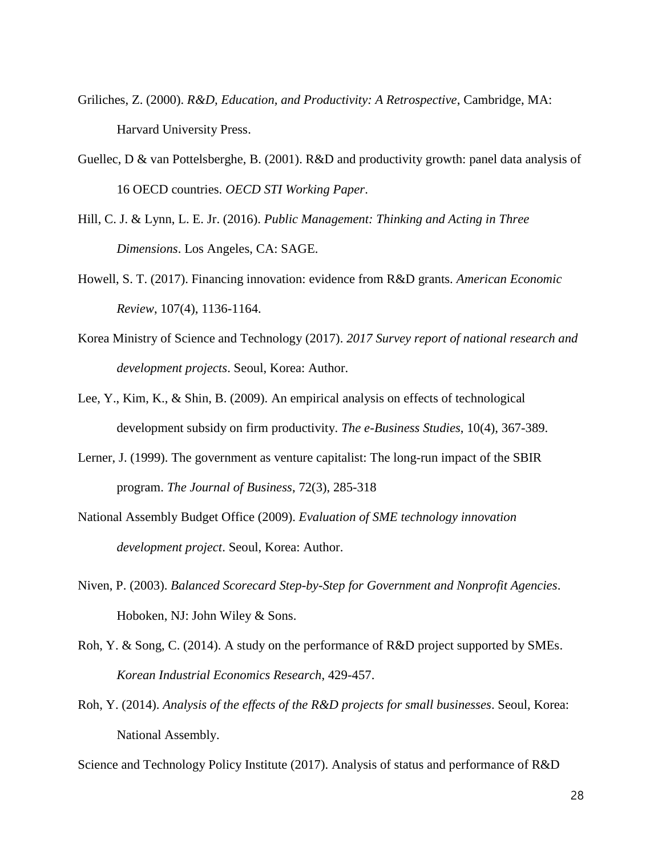- Griliches, Z. (2000). *R&D, Education, and Productivity: A Retrospective*, Cambridge, MA: Harvard University Press.
- Guellec, D & van Pottelsberghe, B. (2001). R&D and productivity growth: panel data analysis of 16 OECD countries. *OECD STI Working Paper*.
- Hill, C. J. & Lynn, L. E. Jr. (2016). *Public Management: Thinking and Acting in Three Dimensions*. Los Angeles, CA: SAGE.
- Howell, S. T. (2017). Financing innovation: evidence from R&D grants. *American Economic Review*, 107(4), 1136-1164.
- Korea Ministry of Science and Technology (2017). *2017 Survey report of national research and development projects*. Seoul, Korea: Author.
- Lee, Y., Kim, K., & Shin, B. (2009). An empirical analysis on effects of technological development subsidy on firm productivity. *The e-Business Studies*, 10(4), 367-389.
- Lerner, J. (1999). The government as venture capitalist: The long-run impact of the SBIR program. *The Journal of Business*, 72(3), 285-318
- National Assembly Budget Office (2009). *Evaluation of SME technology innovation development project*. Seoul, Korea: Author.
- Niven, P. (2003). *Balanced Scorecard Step-by-Step for Government and Nonprofit Agencies*. Hoboken, NJ: John Wiley & Sons.
- Roh, Y. & Song, C. (2014). A study on the performance of R&D project supported by SMEs. *Korean Industrial Economics Research*, 429-457.
- Roh, Y. (2014). *Analysis of the effects of the R&D projects for small businesses*. Seoul, Korea: National Assembly.

Science and Technology Policy Institute (2017). Analysis of status and performance of R&D